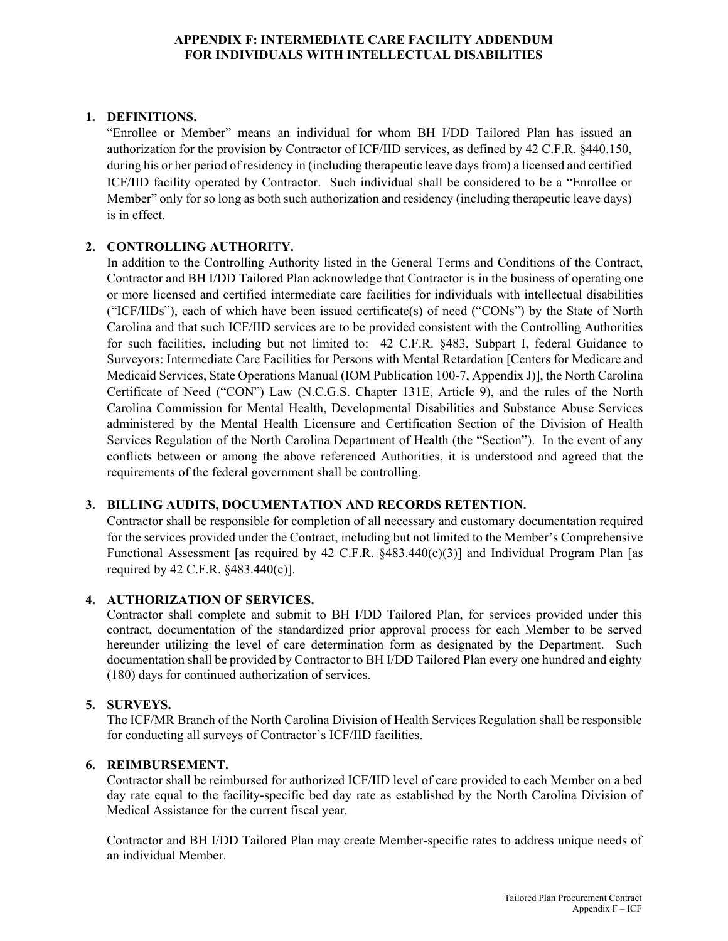## **APPENDIX F: INTERMEDIATE CARE FACILITY ADDENDUM FOR INDIVIDUALS WITH INTELLECTUAL DISABILITIES**

# **1. DEFINITIONS.**

"Enrollee or Member" means an individual for whom BH I/DD Tailored Plan has issued an authorization for the provision by Contractor of ICF/IID services, as defined by 42 C.F.R. §440.150, during his or her period of residency in (including therapeutic leave days from) a licensed and certified ICF/IID facility operated by Contractor. Such individual shall be considered to be a "Enrollee or Member" only for so long as both such authorization and residency (including therapeutic leave days) is in effect.

## **2. CONTROLLING AUTHORITY.**

In addition to the Controlling Authority listed in the General Terms and Conditions of the Contract, Contractor and BH I/DD Tailored Plan acknowledge that Contractor is in the business of operating one or more licensed and certified intermediate care facilities for individuals with intellectual disabilities ("ICF/IIDs"), each of which have been issued certificate(s) of need ("CONs") by the State of North Carolina and that such ICF/IID services are to be provided consistent with the Controlling Authorities for such facilities, including but not limited to: 42 C.F.R. §483, Subpart I, federal Guidance to Surveyors: Intermediate Care Facilities for Persons with Mental Retardation [Centers for Medicare and Medicaid Services, State Operations Manual (IOM Publication 100-7, Appendix J)], the North Carolina Certificate of Need ("CON") Law (N.C.G.S. Chapter 131E, Article 9), and the rules of the North Carolina Commission for Mental Health, Developmental Disabilities and Substance Abuse Services administered by the Mental Health Licensure and Certification Section of the Division of Health Services Regulation of the North Carolina Department of Health (the "Section"). In the event of any conflicts between or among the above referenced Authorities, it is understood and agreed that the requirements of the federal government shall be controlling.

#### **3. BILLING AUDITS, DOCUMENTATION AND RECORDS RETENTION.**

Contractor shall be responsible for completion of all necessary and customary documentation required for the services provided under the Contract, including but not limited to the Member's Comprehensive Functional Assessment [as required by 42 C.F.R. §483.440(c)(3)] and Individual Program Plan [as required by 42 C.F.R. §483.440(c)].

#### **4. AUTHORIZATION OF SERVICES.**

Contractor shall complete and submit to BH I/DD Tailored Plan, for services provided under this contract, documentation of the standardized prior approval process for each Member to be served hereunder utilizing the level of care determination form as designated by the Department. Such documentation shall be provided by Contractor to BH I/DD Tailored Plan every one hundred and eighty (180) days for continued authorization of services.

#### **5. SURVEYS.**

The ICF/MR Branch of the North Carolina Division of Health Services Regulation shall be responsible for conducting all surveys of Contractor's ICF/IID facilities.

## **6. REIMBURSEMENT.**

Contractor shall be reimbursed for authorized ICF/IID level of care provided to each Member on a bed day rate equal to the facility-specific bed day rate as established by the North Carolina Division of Medical Assistance for the current fiscal year.

Contractor and BH I/DD Tailored Plan may create Member-specific rates to address unique needs of an individual Member.